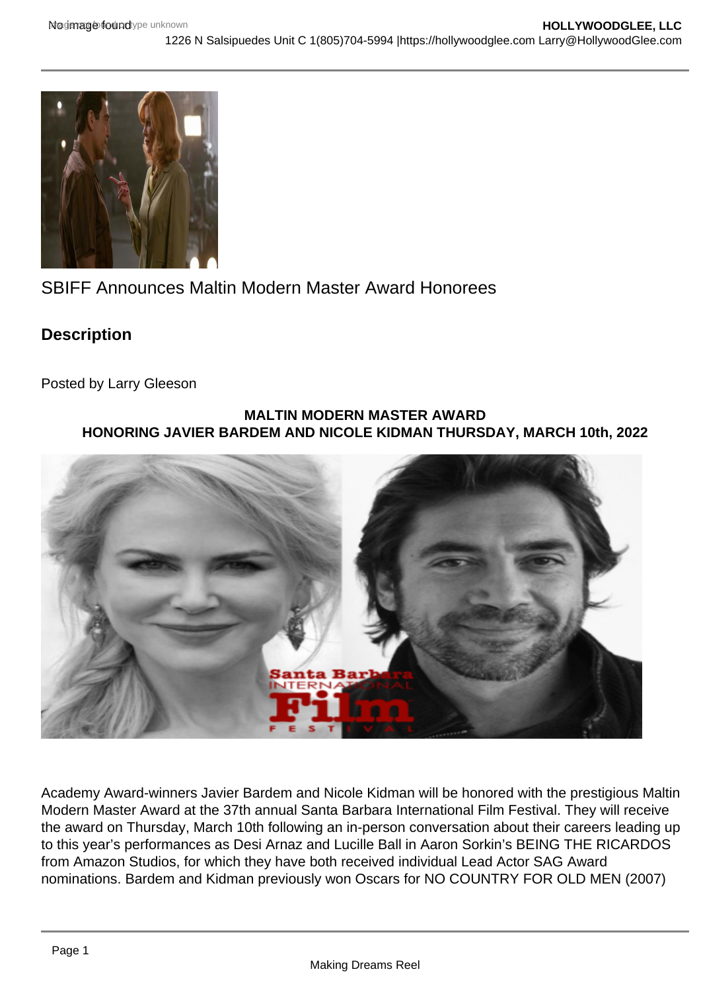## SBIFF Announces Maltin Modern Master Award Honorees

**Description** 

Posted by Larry Gleeson

## MALTIN MODERN MASTER AWARD HONORING JAVIER BARDEM AND NICOLE KIDMAN THURSDAY, MARCH 10th, 2022

Academy Award-winners Javier Bardem and Nicole Kidman will be honored with the prestigious Maltin Modern Master Award at the 37th annual Santa Barbara International Film Festival. They will receive the award on Thursday, March 10th following an in-person conversation about their careers leading up to this year's performances as Desi Arnaz and Lucille Ball in Aaron Sorkin's BEING THE RICARDOS from Amazon Studios, for which they have both received individual Lead Actor SAG Award nominations. Bardem and Kidman previously won Oscars for NO COUNTRY FOR OLD MEN (2007)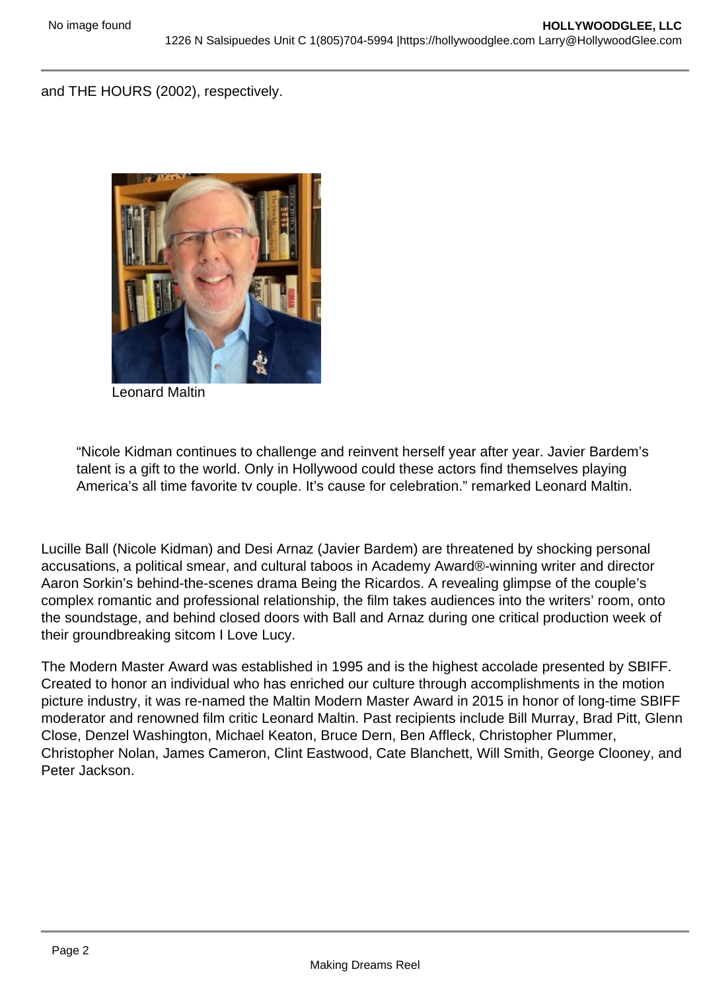and THE HOURS (2002), respectively.

Leonard Maltin

"Nicole Kidman continues to challenge and reinvent herself year after year. Javier Bardem's talent is a gift to the world. Only in Hollywood could these actors find themselves playing America's all time favorite tv couple. It's cause for celebration." remarked Leonard Maltin.

Lucille Ball (Nicole Kidman) and Desi Arnaz (Javier Bardem) are threatened by shocking personal accusations, a political smear, and cultural taboos in Academy Award®-winning writer and director Aaron Sorkin's behind-the-scenes drama Being the Ricardos. A revealing glimpse of the couple's complex romantic and professional relationship, the film takes audiences into the writers' room, onto the soundstage, and behind closed doors with Ball and Arnaz during one critical production week of their groundbreaking sitcom I Love Lucy.

The Modern Master Award was established in 1995 and is the highest accolade presented by SBIFF. Created to honor an individual who has enriched our culture through accomplishments in the motion picture industry, it was re-named the Maltin Modern Master Award in 2015 in honor of long-time SBIFF moderator and renowned film critic Leonard Maltin. Past recipients include Bill Murray, Brad Pitt, Glenn Close, Denzel Washington, Michael Keaton, Bruce Dern, Ben Affleck, Christopher Plummer, Christopher Nolan, James Cameron, Clint Eastwood, Cate Blanchett, Will Smith, George Clooney, and Peter Jackson.